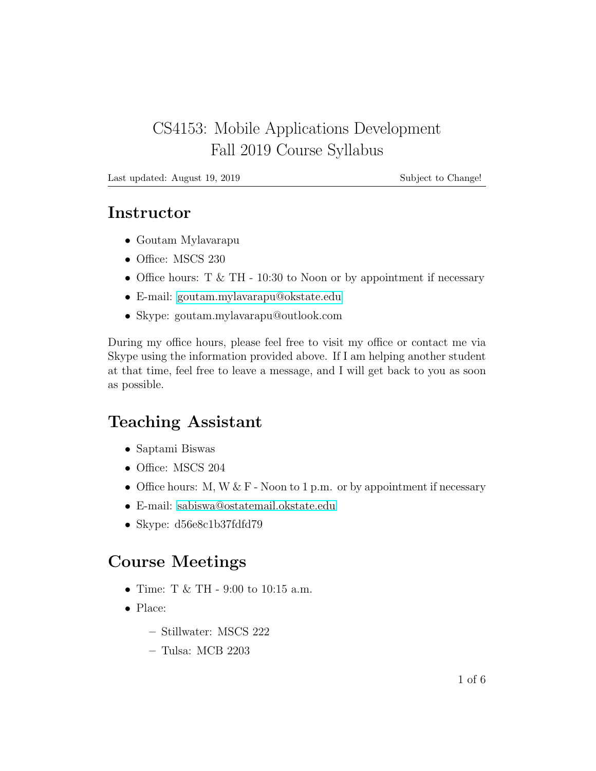## CS4153: Mobile Applications Development Fall 2019 Course Syllabus

Last updated: August 19, 2019 Subject to Change!

#### Instructor

- Goutam Mylavarapu
- Office: MSCS 230
- Office hours:  $T \& TH 10:30$  to Noon or by appointment if necessary
- E-mail: [goutam.mylavarapu@okstate.edu](mailto:goutam.mylavarapu@okstate.edu)
- Skype: goutam.mylavarapu@outlook.com

During my office hours, please feel free to visit my office or contact me via Skype using the information provided above. If I am helping another student at that time, feel free to leave a message, and I will get back to you as soon as possible.

# Teaching Assistant

- Saptami Biswas
- Office: MSCS 204
- Office hours: M, W  $&$  F Noon to 1 p.m. or by appointment if necessary
- E-mail: [sabiswa@ostatemail.okstate.edu](mailto:sabiswa@ostatemail.okstate.edu)
- Skype: d56e8c1b37fdfd79

# Course Meetings

- Time: T & TH 9:00 to 10:15 a.m.
- Place:
	- Stillwater: MSCS 222
	- Tulsa: MCB 2203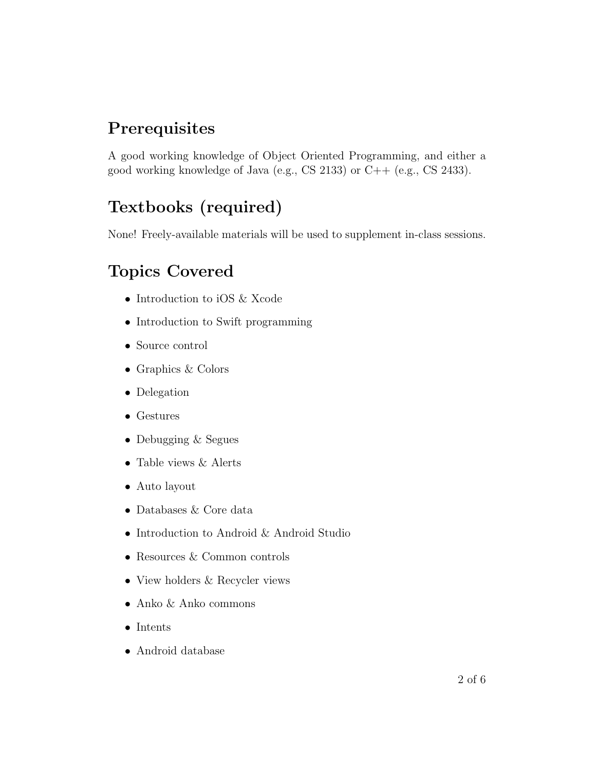# **Prerequisites**

A good working knowledge of Object Oriented Programming, and either a good working knowledge of Java (e.g., CS 2133) or C++ (e.g., CS 2433).

# Textbooks (required)

None! Freely-available materials will be used to supplement in-class sessions.

# Topics Covered

- Introduction to iOS & Xcode
- Introduction to Swift programming
- Source control
- Graphics & Colors
- Delegation
- Gestures
- Debugging & Segues
- Table views  $&$  Alerts
- Auto layout
- Databases & Core data
- Introduction to Android & Android Studio
- Resources & Common controls
- View holders & Recycler views
- Anko & Anko commons
- Intents
- Android database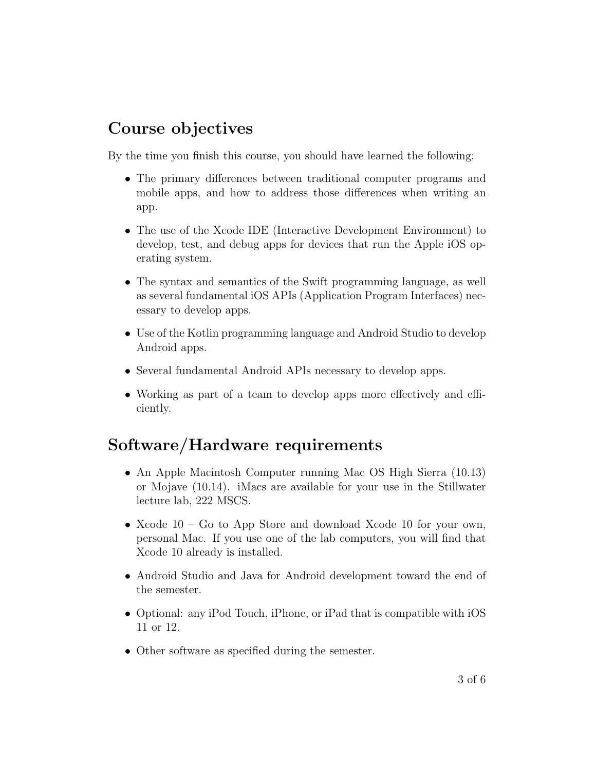## Course objectives

By the time you finish this course, you should have learned the following:

- The primary differences between traditional computer programs and mobile apps, and how to address those differences when writing an app.
- The use of the Xcode IDE (Interactive Development Environment) to develop, test, and debug apps for devices that run the Apple iOS operating system.
- The syntax and semantics of the Swift programming language, as well as several fundamental iOS APIs (Application Program Interfaces) necessary to develop apps.
- Use of the Kotlin programming language and Android Studio to develop Android apps.
- Several fundamental Android APIs necessary to develop apps.
- Working as part of a team to develop apps more effectively and efficiently.

### Software/Hardware requirements

- An Apple Macintosh Computer running Mac OS High Sierra (10.13) or Mojave (10.14). iMacs are available for your use in the Stillwater lecture lab, 222 MSCS.
- Xcode 10 Go to App Store and download Xcode 10 for your own, personal Mac. If you use one of the lab computers, you will find that Xcode 10 already is installed.
- Android Studio and Java for Android development toward the end of the semester.
- Optional: any iPod Touch, iPhone, or iPad that is compatible with iOS 11 or 12.
- Other software as specified during the semester.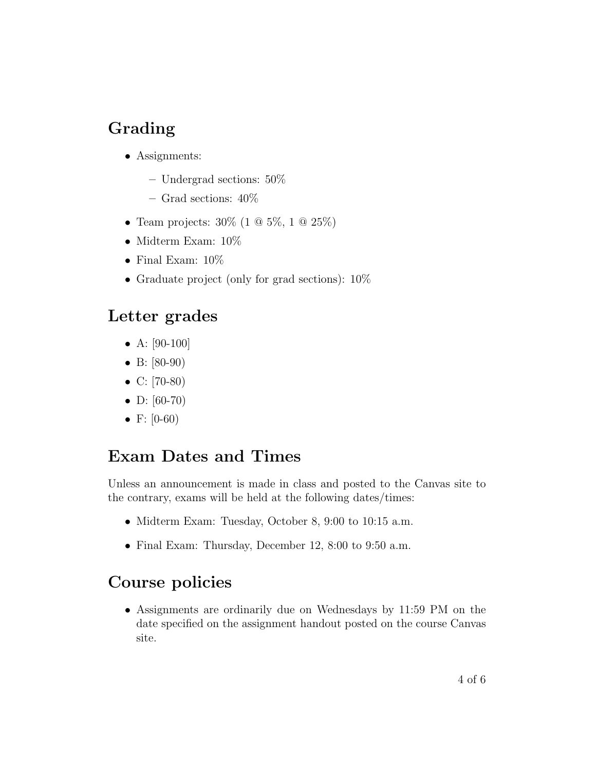# Grading

- Assignments:
	- Undergrad sections: 50%
	- Grad sections: 40%
- Team projects:  $30\%$  (1  $@$  5%, 1  $@$  25%)
- Midterm Exam:  $10\%$
- Final Exam:  $10\%$
- Graduate project (only for grad sections):  $10\%$

### Letter grades

- A:  $[90-100]$
- B: [80-90)
- C: [70-80)
- D: [60-70)
- F:  $[0-60)$

### Exam Dates and Times

Unless an announcement is made in class and posted to the Canvas site to the contrary, exams will be held at the following dates/times:

- Midterm Exam: Tuesday, October 8, 9:00 to 10:15 a.m.
- Final Exam: Thursday, December 12, 8:00 to 9:50 a.m.

### Course policies

• Assignments are ordinarily due on Wednesdays by 11:59 PM on the date specified on the assignment handout posted on the course Canvas site.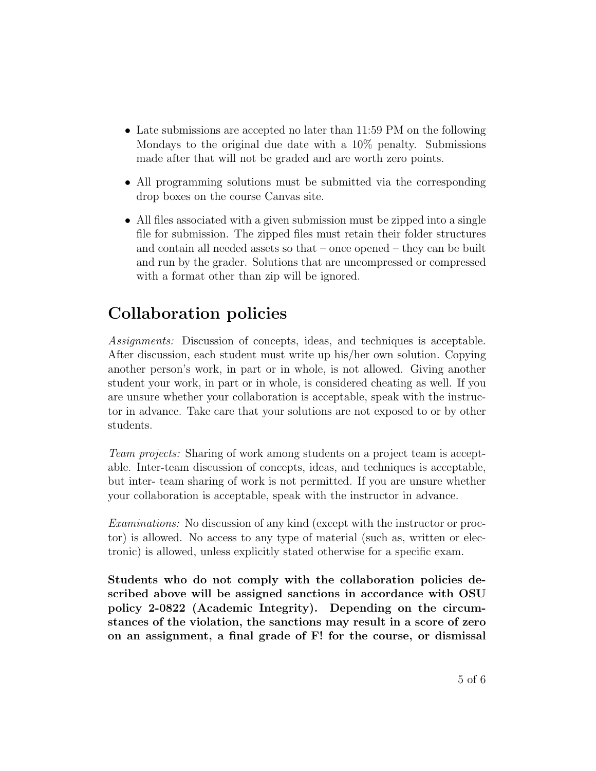- Late submissions are accepted no later than 11:59 PM on the following Mondays to the original due date with a 10% penalty. Submissions made after that will not be graded and are worth zero points.
- All programming solutions must be submitted via the corresponding drop boxes on the course Canvas site.
- All files associated with a given submission must be zipped into a single file for submission. The zipped files must retain their folder structures and contain all needed assets so that – once opened – they can be built and run by the grader. Solutions that are uncompressed or compressed with a format other than zip will be ignored.

## Collaboration policies

Assignments: Discussion of concepts, ideas, and techniques is acceptable. After discussion, each student must write up his/her own solution. Copying another person's work, in part or in whole, is not allowed. Giving another student your work, in part or in whole, is considered cheating as well. If you are unsure whether your collaboration is acceptable, speak with the instructor in advance. Take care that your solutions are not exposed to or by other students.

Team projects: Sharing of work among students on a project team is acceptable. Inter-team discussion of concepts, ideas, and techniques is acceptable, but inter- team sharing of work is not permitted. If you are unsure whether your collaboration is acceptable, speak with the instructor in advance.

Examinations: No discussion of any kind (except with the instructor or proctor) is allowed. No access to any type of material (such as, written or electronic) is allowed, unless explicitly stated otherwise for a specific exam.

Students who do not comply with the collaboration policies described above will be assigned sanctions in accordance with OSU policy 2-0822 (Academic Integrity). Depending on the circumstances of the violation, the sanctions may result in a score of zero on an assignment, a final grade of F! for the course, or dismissal